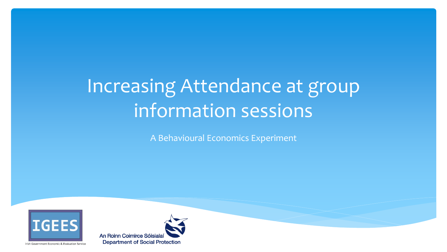# Increasing Attendance at group information sessions

A Behavioural Economics Experiment



Irish Government Economic & Evaluation Service

An Roinn Coimirce Sóisialaí

**Department of Social Protection**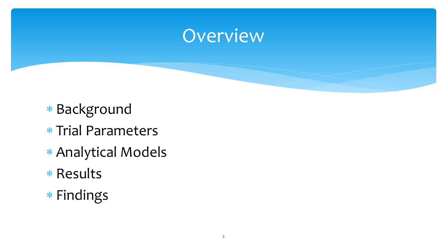#### Overview

- \* Background
- \* Trial Parameters
- Analytical Models
- \* Results
- Findings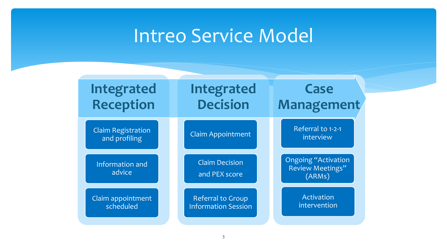## Intreo Service Model

| <b>Integrated</b>                          | <b>Integrated</b>                      | Case                                                     |
|--------------------------------------------|----------------------------------------|----------------------------------------------------------|
| <b>Reception</b>                           | <b>Decision</b>                        | <b>Management</b>                                        |
| <b>Claim Registration</b><br>and profiling | <b>Claim Appointment</b>               | Referral to 1-2-1<br>interview                           |
| Information and<br>advice                  | <b>Claim Decision</b><br>and PEX score | <b>Ongoing "Activation</b><br>Review Meetings"<br>(ARMs) |
| Claim appointment                          | <b>Referral to Group</b>               | Activation                                               |
| scheduled                                  | <b>Information Session</b>             | intervention                                             |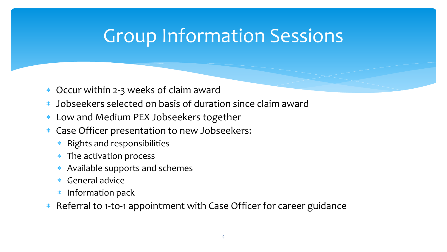# Group Information Sessions

- Occur within 2-3 weeks of claim award
- Jobseekers selected on basis of duration since claim award
- Low and Medium PEX Jobseekers together
- Case Officer presentation to new Jobseekers:
	- \* Rights and responsibilities
	- \* The activation process
	- Available supports and schemes
	- General advice
	- Information pack
- \* Referral to 1-to-1 appointment with Case Officer for career guidance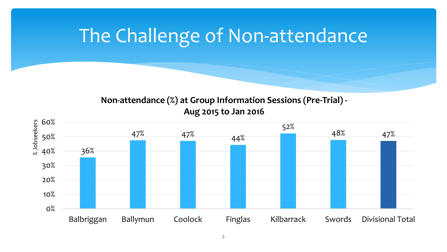# The Challenge of Non-attendance

**Non-attendance (%) at Group Information Sessions (Pre-Trial) - Aug 2015 to Jan 2016**

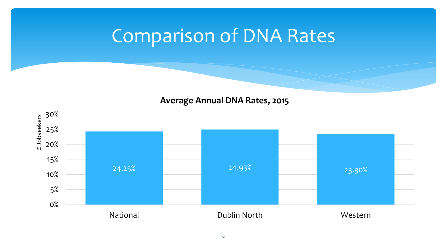# Comparison of DNA Rates

#### **Average Annual DNA Rates, 2015**

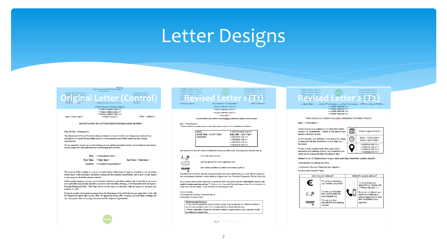### Letter Designs

| <b>Department of Social Protection</b><br>www.welfare.in<br>edintreo Office Address Line 1>><br>< <lrish 1="" address="" line="">&gt;<br/>edintreo Office Addr. is Line 2&gt;&gt;<br/>&lt;<lrish 2="" address="" line="">&gt;<br/>approaches to play the control and<br/><b>REPORT AND POST</b><br/>the following 4 b<br/><b>TARRAIRE IL LEULER</b><br/><b>COLLEGE OF STREET</b><br/>&lt; laten Officer and pay<br/>Guthan/Telephone &lt;<phone number="">&gt;<br/>&lt;<eitcode>&gt;<br/>&lt;<first name="">&gt; <second name="">&gt;</second></first></eitcode></phone></lrish></lrish> | < <office 1="" address="" line="">&gt;<br/>&lt;<irish 1="" address="" line="">&gt;<br/>&lt;<irish 2="" address="" line="">&gt;<br/>&lt;<office address="" line2="">&gt;<br/>&lt;<office address="" line3="">&gt;<br/>&lt;<irish 3="" address="" line="">&gt;<br/>&lt;<off app<br="" derive="" line="" to="">⇔ Irish Agg ass J ine 1&gt;&gt;<br/><b><i>«Exevised Leuce</i></b><br/><math>\ll E</math> and <math>\gg</math><br/>PPSN: &lt;<ppsn>&gt;<br/>&lt;<today's date="">&gt;<br/>&lt;<first name="">&gt; &lt;<surname>&gt;<br/>&lt;<client 1="" address="" line="">&gt;.</client></surname></first></today's></ppsn></off></irish></office></office></irish></irish></office> | < <office 1="" address="" line="">&gt;<br/>&lt;<lrish 1="" address="" line="">&gt;<br/>&lt;<office 2="" address="" line="">&gt;<br/>&lt;&lt;<rr></rr>Irish Address Line 2&gt;&gt;<br/>&lt;<lrish 3="" ar="" dress="" line="">3<br/>&lt;<office 3="" \ine="" address="">&gt;<br/>rish / ddre : Lit &gt;&gt;<br/>o official district line to you<br/>ANGAMA PIEUTELUUEIT<br/><math>&lt;&lt;</math> ffice <math> cc^2 &gt;&gt;</math><br/>&lt;<sent date="">&gt;&lt;<client first="" name="">&gt;&lt;<client surname="">&gt; PPSN:&lt;<client pps<br="">≪Client Address 1&gt;&gt;</client></client></client></sent></office></lrish></office></lrish></office> |
|------------------------------------------------------------------------------------------------------------------------------------------------------------------------------------------------------------------------------------------------------------------------------------------------------------------------------------------------------------------------------------------------------------------------------------------------------------------------------------------------------------------------------------------------------------------------------------------|-----------------------------------------------------------------------------------------------------------------------------------------------------------------------------------------------------------------------------------------------------------------------------------------------------------------------------------------------------------------------------------------------------------------------------------------------------------------------------------------------------------------------------------------------------------------------------------------------------------------------------------------------------------------------------------|-------------------------------------------------------------------------------------------------------------------------------------------------------------------------------------------------------------------------------------------------------------------------------------------------------------------------------------------------------------------------------------------------------------------------------------------------------------------------------------------------------------------------------------------------------------------------------------------------------------------------------------------------------------|
| < <client 1="" address="" line="">&gt;</client>                                                                                                                                                                                                                                                                                                                                                                                                                                                                                                                                          | << Client Address Line 2>>.                                                                                                                                                                                                                                                                                                                                                                                                                                                                                                                                                                                                                                                       | < <client 2="" address="">&gt;</client>                                                                                                                                                                                                                                                                                                                                                                                                                                                                                                                                                                                                                     |
| < <client 2="" address="" line="">&gt;</client>                                                                                                                                                                                                                                                                                                                                                                                                                                                                                                                                          | coffinet Address Line 255                                                                                                                                                                                                                                                                                                                                                                                                                                                                                                                                                                                                                                                         | < <client 3="" address="">&gt;</client>                                                                                                                                                                                                                                                                                                                                                                                                                                                                                                                                                                                                                     |

<<Client Address Line 3>> <<Client County>>

NOTIFICATION TO ATTEND GROUP INFORMATION SESSION

**PPSN**: eePPSN>>

#### Dear Mr/Mrs. <<Sumame>>,

Date: <<Sent date>>

The Department of Social Protection helps jobseekers to secure work by providing employment advice, assisting in job search and providing access to work experience and further education and training opportunities

We are pleased to invite you to avail of these services and in particular to invite you to attend an information session along with other jobseekers at the following date and time:

Date: << Appointment date>>

Start Time: << Start time>> End Time: <<End time>>

Location: << Location of appointment>>

The purpose of this meeting is to give you some details of the range of supports available to you, including employment, work experience, education, training and development opportunities, and to give you the chance to ask questions about the options available.

Following this meeting, you may also be invited to attend an individual meeting with a Case Officer, to review your particular employment objectives, to assess your education, training, or development needs and agree a Personal Progression Plan. This Plan will set out the steps you can take, with our support, to advance your progress to work

People in receipt of jobseekers payments from the Department of Social Protection are expected to work with the Department and to take-up any offers of support including offers of group and individual meetings and any subsequent offers of training, education and development opportunities.



<<Client Address Line 1>>. <<Client Address Line 2>>. <<Client Address Line 3>>. <<Countub> I have booked you a place on an Intreo Jobseekers Information Session Dear <<First Name>>, I have booked you a place at our next information session for jobseekers as follows: <<APPOINTMENT DATE>> START TIME: << START TIME>> END TIME: << END TIME>> LOCATION: <<ADDRESS LINE 1>> <<ADDRESS LINE 2>> <<ADDRESS LINE 3>> <<ADDRESS LINE 4>> The session will include useful information to help you find work, including some tips on how to: - find a job that cuite you ī. - identify options for work experience and - learn about possible education and training options **LEARN** 

The information session will also set out the plans for you to meet with your Case Officer to discuss your employment options in more detail and agree your own Personal Progression Plan to find a job.

Do you know almost three out of four jobseekers from your area said the "information session was useful to understand my options"? Find out why they said that and please check the notes below to make sure you are ready. I look forward to meeting you soon.

Yours sincerely <Activation Service Team Member Name > **Employment Support Team** 

What you need to know: . If you cannot attend for a good reason, please ring me directly at <<Phone Number>> as soon as possible so that I can arrange a more suitable date for you. . Please remember, if you do not attend without a good reason, your payment could be reduced or suspended.



payment.

**LEARN** 

educational and training

courses.

7

**Communication**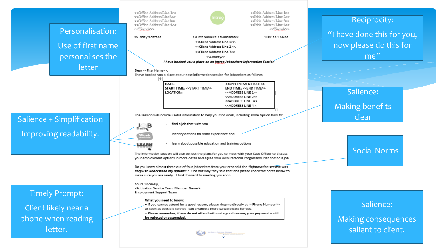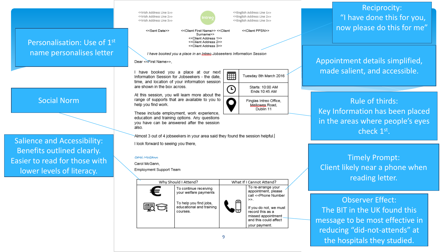<<lrish Address Line 1>> <<lrish Address Line 255 <<lrish Address Line 3>>



<<English Address Line 1>> <<English Address Line 2>> <<English Address Line 3>>

<<Sent Date>> <<Client First Name>> <<Client Surname>> <<Client Address 1>> << Client Address 2>> <<Client Address 3>>

<<Client PPSN>>

I have booked you a place in an Intreo Jobseekers Information Session

Dear <<First Name>>.

I have booked you a place at our next Information Session for Jobseekers - the date. time, and location of your information session are shown in the box across.

At this session, you will learn more about the range of supports that are available to you to help you find work.

These include employment, work experience, education and training options. Any questions vou have can be answered after the session also

-Almost 3 out of 4 jobseekers in your area said they found the session helpful.

I look forward to seeing you there.

#### Carol McCann

Carol McGann.

Employment Support Team



9

冊 Tuesday 8th March 2016 Starts: 10:00 AM ∩ Ends:10:45 AM Finglas Intreo Office. Mellowes Road.

Dublin 11

Reciprocity: "I have done this for you, now please do this for me"

Appointment details simplified, made salient, and accessible.

Rule of thirds: Key Information has been placed in the areas where people's eyes check 1<sup>st</sup>.

Timely Prompt: Client likely near a phone when reading letter.

Observer Effect: The BIT in the UK found this message to be most effective in reducing "did -not -attends" at the hospitals they studied.

#### Social Norm

Personalisation: Use of 1st

name personalises letter

Salience and Accessibility: Benefits outlined clearly. Easier to read for those with lower levels of literacy.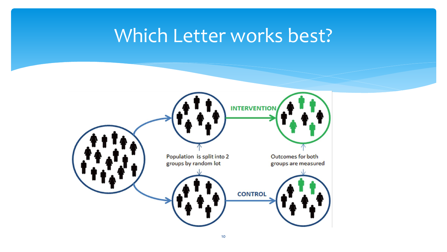### Which Letter works best?

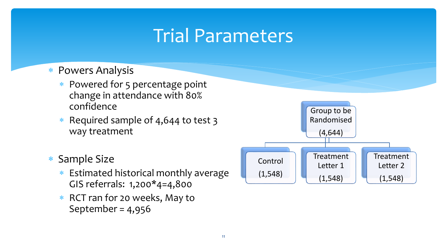# Trial Parameters

- Powers Analysis
	- \* Powered for 5 percentage point change in attendance with 80% confidence
	- \* Required sample of 4,644 to test 3 way treatment
- \* Sample Size
	- \* Estimated historical monthly average GIS referrals: 1,200\*4=4,800
	- \* RCT ran for 20 weeks, May to September = 4,956

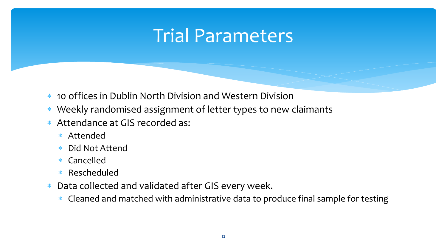## Trial Parameters

- 10 offices in Dublin North Division and Western Division
- Weekly randomised assignment of letter types to new claimants
- Attendance at GIS recorded as:
	- Attended
	- Did Not Attend
	- Cancelled
	- Rescheduled
- Data collected and validated after GIS every week.
	- \* Cleaned and matched with administrative data to produce final sample for testing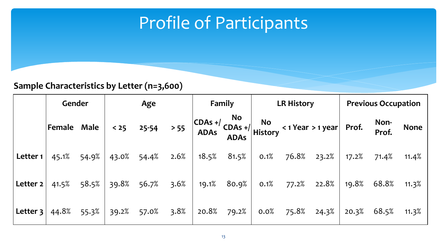### Profile of Participants

#### **Sample Characteristics by Letter (n=3,600)**

|            |             | Gender<br>Age |             | Family      |      | <b>LR History</b> |                          |         | <b>Previous Occupation</b> |                                                                                                                                                     |       |               |             |
|------------|-------------|---------------|-------------|-------------|------|-------------------|--------------------------|---------|----------------------------|-----------------------------------------------------------------------------------------------------------------------------------------------------|-------|---------------|-------------|
|            | Female Male |               | $< 25$      | $25 - 54$   | > 55 |                   | <b>No</b><br><b>ADAs</b> |         |                            | $\begin{vmatrix} \text{CDAs } + / & \text{NO} \\ \text{ADAs } & \text{ADAs } + / \\ \text{History } & \text{ADAs } + \text{History } \end{vmatrix}$ |       | Non-<br>Prof. | <b>None</b> |
| Letter $1$ | 45.1%       | 54.9%         | 43.0% 54.4% |             | 2.6% |                   | 18.5% 81.5%              | 0.1%    |                            | 76.8% 23.2%                                                                                                                                         | 17.2% | 71.4%         | 11.4%       |
| Letter $2$ | 41.5%       | 58.5%         | 39.8%       | 56.7%       | 3.6% |                   | $19.1\%$ 80.9%           | 0.1%    |                            | 77.2% 22.8%                                                                                                                                         | 19.8% | 68.8% 11.3%   |             |
| Letter 3   | 44.8%       | 55.3%         |             | 39.2% 57.0% | 3.8% |                   | $20.8\%$ 79.2%           | $0.0\%$ | 75.8%                      | $24.3\%$                                                                                                                                            | 20.3% | 68.5% 11.3%   |             |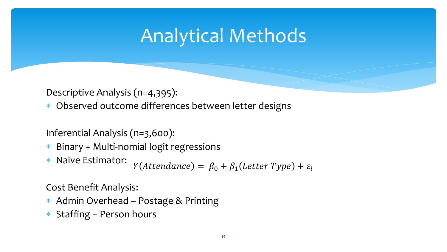# Analytical Methods

Descriptive Analysis (n=4,395):

\* Observed outcome differences between letter designs

Inferential Analysis (n=3,600):

- Binary + Multi-nomial logit regressions
- Naïve Estimator:  $Y(Attendance) = \beta_0 + \beta_1 (Letter Type) + \varepsilon_i$

Cost Benefit Analysis:

- Admin Overhead Postage & Printing
- $*$  Staffing Person hours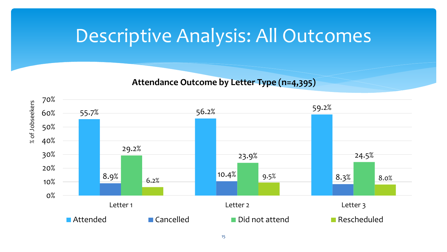### Descriptive Analysis: All Outcomes

**Attendance Outcome by Letter Type (n=4,395)**

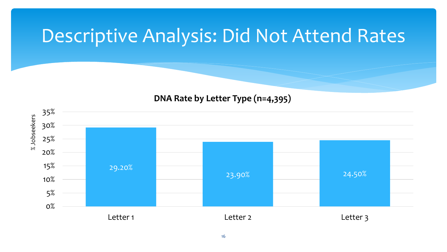### Descriptive Analysis: Did Not Attend Rates

#### **DNA Rate by Letter Type (n=4,395)**

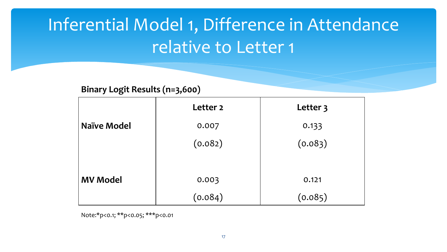# Inferential Model 1, Difference in Attendance relative to Letter 1

**Binary Logit Results (n=3,600)**

|                    | Letter 2 | Letter 3 |  |  |
|--------------------|----------|----------|--|--|
| <b>Naïve Model</b> | 0.007    | 0.133    |  |  |
|                    | (0.082)  | (0.083)  |  |  |
|                    |          |          |  |  |
| <b>MV Model</b>    | 0.003    | 0.121    |  |  |
|                    | (0.084)  | (0.085)  |  |  |

Note:\*p<0.1; \*\*p<0.05; \*\*\*p<0.01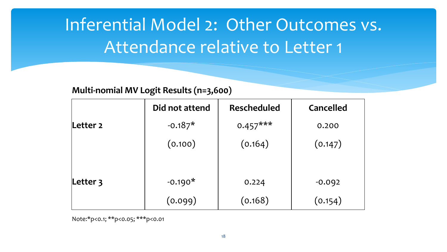# Inferential Model 2: Other Outcomes vs. Attendance relative to Letter 1

#### **Multi-nomial MV Logit Results (n=3,600)**

|          | Did not attend | <b>Rescheduled</b> | Cancelled |
|----------|----------------|--------------------|-----------|
| Letter 2 | $-0.187*$      | $0.457***$         | 0.200     |
|          | (0.100)        | (0.164)            | (0.147)   |
|          |                |                    |           |
| Letter 3 | $-0.190*$      | 0.224              | $-0.092$  |
|          | (0.099)        | (0.168)            | (0.154)   |

Note:\*p<0.1; \*\*p<0.05; \*\*\*p<0.01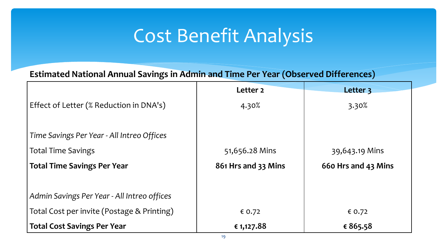# Cost Benefit Analysis

**Estimated National Annual Savings in Admin and Time Per Year (Observed Differences)**

|                                             | Letter <sub>2</sub> | Letter 3            |  |
|---------------------------------------------|---------------------|---------------------|--|
| Effect of Letter (% Reduction in DNA's)     | 4.30%               | 3.30%               |  |
|                                             |                     |                     |  |
| Time Savings Per Year - All Intreo Offices  |                     |                     |  |
| <b>Total Time Savings</b>                   | 51,656.28 Mins      | 39,643.19 Mins      |  |
| <b>Total Time Savings Per Year</b>          | 861 Hrs and 33 Mins | 660 Hrs and 43 Mins |  |
|                                             |                     |                     |  |
| Admin Savings Per Year - All Intreo offices |                     |                     |  |
| Total Cost per invite (Postage & Printing)  | € 0.72              | € 0.72              |  |
| <b>Total Cost Savings Per Year</b>          | € 1,127.88          | € 865.58            |  |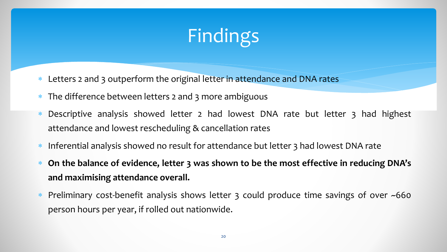# Findings

- \* Letters 2 and 3 outperform the original letter in attendance and DNA rates
- \* The difference between letters 2 and 3 more ambiguous
- \* Descriptive analysis showed letter 2 had lowest DNA rate but letter 3 had highest attendance and lowest rescheduling & cancellation rates
- \* Inferential analysis showed no result for attendance but letter 3 had lowest DNA rate
- **On the balance of evidence, letter 3 was shown to be the most effective in reducing DNA's and maximising attendance overall.**
- \* Preliminary cost-benefit analysis shows letter 3 could produce time savings of over ~660 person hours per year, if rolled out nationwide.